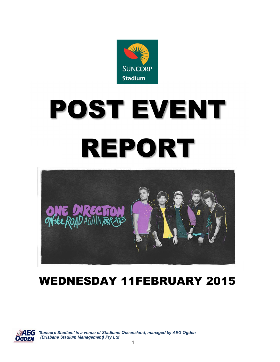

# POST EVENT REPORT



# WEDNESDAY 11FEBRUARY 2015



 *'Suncorp Stadium' is a venue of Stadiums Queensland, managed by AEG Ogden (Brisbane Stadium Management) Pty Ltd*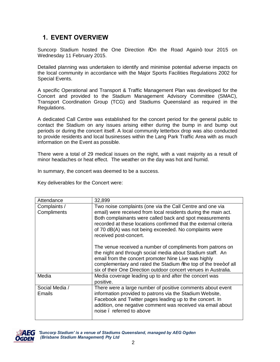### **1. EVENT OVERVIEW**

Suncorp Stadium hosted the One Direction % a the Road Again+ tour 2015 on Wednesday 11 February 2015.

Detailed planning was undertaken to identify and minimise potential adverse impacts on the local community in accordance with the Major Sports Facilities Regulations 2002 for Special Events.

A specific Operational and Transport & Traffic Management Plan was developed for the Concert and provided to the Stadium Management Advisory Committee (SMAC), Transport Coordination Group (TCG) and Stadiums Queensland as required in the Regulations.

A dedicated Call Centre was established for the concert period for the general public to contact the Stadium on any issues arising either during the bump in and bump out periods or during the concert itself. A local community letterbox drop was also conducted to provide residents and local businesses within the Lang Park Traffic Area with as much information on the Event as possible.

There were a total of 29 medical issues on the night, with a vast majority as a result of minor headaches or heat effect. The weather on the day was hot and humid.

In summary, the concert was deemed to be a success.

Key deliverables for the Concert were:

| Attendance                      | 32,899                                                                                                                                                                                                                                                                                                                                          |
|---------------------------------|-------------------------------------------------------------------------------------------------------------------------------------------------------------------------------------------------------------------------------------------------------------------------------------------------------------------------------------------------|
| Complaints /<br>Compliments     | Two noise complaints (one via the Call Centre and one via<br>email) were received from local residents during the main act.<br>Both complainants were called back and spot measurements<br>recorded at these locations confirmed that the external criteria<br>of 70 dB(A) was not being exceeded. No complaints were<br>received post-concert. |
|                                 | The venue received a number of compliments from patrons on<br>the night and through social media about Stadium staff. An<br>email from the concert promoter Nine Live was highly<br>complementary and rated the Stadium % be top of the tree+ of all<br>six of their One Direction outdoor concert venues in Australia.                         |
| Media                           | Media coverage leading up to and after the concert was<br>positive.                                                                                                                                                                                                                                                                             |
| Social Media /<br><b>Emails</b> | There were a large number of positive comments about event<br>information provided to patrons via the Stadium Website,<br>Facebook and Twitter pages leading up to the concert. In<br>addition, one negative comment was received via email about<br>noise, referred to above                                                                   |

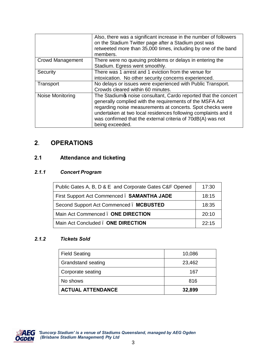|                         | Also, there was a significant increase in the number of followers<br>on the Stadium Twitter page after a Stadium post was<br>retweeted more than 35,000 times, including by one of the band<br>members.                                                                                                                                       |
|-------------------------|-----------------------------------------------------------------------------------------------------------------------------------------------------------------------------------------------------------------------------------------------------------------------------------------------------------------------------------------------|
| <b>Crowd Management</b> | There were no queuing problems or delays in entering the<br>Stadium. Egress went smoothly.                                                                                                                                                                                                                                                    |
| Security                | There was 1 arrest and 1 eviction from the venue for<br>intoxication. No other security concerns experienced.                                                                                                                                                                                                                                 |
| Transport               | No delays or issues were experienced with Public Transport.<br>Crowds cleared within 60 minutes.                                                                                                                                                                                                                                              |
| Noise Monitoring        | The Stadiumos noise consultant, Cardo reported that the concert<br>generally complied with the requirements of the MSFA Act<br>regarding noise measurements at concerts. Spot checks were<br>undertaken at two local residences following complaints and it<br>was confirmed that the external criteria of 70dB(A) was not<br>being exceeded. |

## **2**. **OPERATIONS**

#### **2.1 Attendance and ticketing**

#### *2.1.1 Concert Program*

| Public Gates A, B, D & E and Corporate Gates C&F Opened | 17:30 |
|---------------------------------------------------------|-------|
| First Support Act Commenced. SAMANTHA JADE              | 18:15 |
| Second Support Act Commenced. MCBUSTED                  | 18:35 |
| Main Act Commenced . ONE DIRECTION                      | 20:10 |
| Main Act Concluded . ONE DIRECTION                      | 22.15 |

#### *2.1.2 Tickets Sold*

| <b>Field Seating</b>      | 10,086 |
|---------------------------|--------|
| <b>Grandstand seating</b> | 23,462 |
| Corporate seating         | 167    |
| No shows                  | 816    |
| <b>ACTUAL ATTENDANCE</b>  | 32,899 |

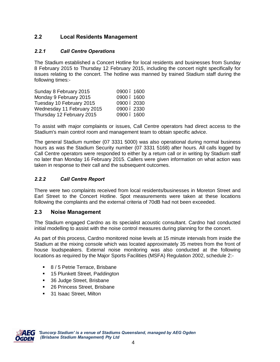#### **2.2 Local Residents Management**

#### *2.2.1 Call Centre Operations*

The Stadium established a Concert Hotline for local residents and businesses from Sunday 8 February 2015 to Thursday 12 February 2015, including the concert night specifically for issues relating to the concert. The hotline was manned by trained Stadium staff during the following times:-

| Sunday 8 February 2015     | 0900.1600  |
|----------------------------|------------|
| Monday 9 February 2015     | 0900, 1600 |
| Tuesday 10 February 2015   | 0900.2030  |
| Wednesday 11 February 2015 | 0900.2330  |
| Thursday 12 February 2015  | 0900, 1600 |

To assist with major complaints or issues, Call Centre operators had direct access to the Stadium's main control room and management team to obtain specific advice.

The general Stadium number (07 3331 5000) was also operational during normal business hours as was the Stadium Security number (07 3331 5168) after hours. All calls logged by Call Centre operators were responded to either by a return call or in writing by Stadium staff no later than Monday 16 February 2015. Callers were given information on what action was taken in response to their call and the subsequent outcomes.

#### *2.2.2 Call Centre Report*

There were two complaints received from local residents/businesses in Moreton Street and Earl Street to the Concert Hotline. Spot measurements were taken at these locations following the complaints and the external criteria of 70dB had not been exceeded.

#### **2.3 Noise Management**

The Stadium engaged Cardno as its specialist acoustic consultant. Cardno had conducted initial modelling to assist with the noise control measures during planning for the concert.

As part of this process, Cardno monitored noise levels at 15 minute intervals from inside the Stadium at the mixing console which was located approximately 35 metres from the front of house loudspeakers. External noise monitoring was also conducted at the following locations as required by the Major Sports Facilities (MSFA) Regulation 2002, schedule 2:-

- 8 / 5 Petrie Terrace, Brisbane
- **15 Plunkett Street, Paddington**
- **36 Judge Street, Brisbane**
- 26 Princess Street, Brisbane
- **31 Isaac Street, Milton**



 *'Suncorp Stadium' is a venue of Stadiums Queensland, managed by AEG Ogden (Brisbane Stadium Management) Pty Ltd*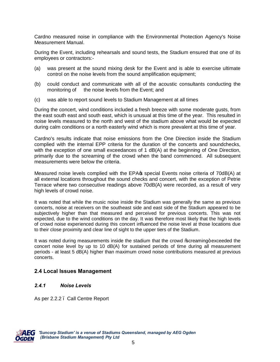Cardno measured noise in compliance with the Environmental Protection Agency's Noise Measurement Manual.

During the Event, including rehearsals and sound tests, the Stadium ensured that one of its employees or contractors:-

- (a) was present at the sound mixing desk for the Event and is able to exercise ultimate control on the noise levels from the sound amplification equipment;
- (b) could conduct and communicate with all of the acoustic consultants conducting the monitoring of the noise levels from the Event; and
- (c) was able to report sound levels to Stadium Management at all times

During the concert, wind conditions included a fresh breeze with some moderate gusts, from the east south east and south east, which is unusual at this time of the year. This resulted in noise levels measured to the north and west of the stadium above what would be expected during calm conditions or a north easterly wind which is more prevalent at this time of year.

Cardno's results indicate that noise emissions from the One Direction inside the Stadium complied with the internal EPP criteria for the duration of the concerts and soundchecks, with the exception of one small exceedances of 1 dB(A) at the beginning of One Direction, primarily due to the screaming of the crowd when the band commenced. All subsequent measurements were below the criteria.

Measured noise levels complied with the EPA $\phi$  special Events noise criteria of 70dB(A) at all external locations throughout the sound checks and concert, with the exception of Petrie Terrace where two consecutive readings above 70dB(A) were recorded, as a result of very high levels of crowd noise.

It was noted that while the music noise inside the Stadium was generally the same as previous concerts, noise at receivers on the southeast side and east side of the Stadium appeared to be subjectively higher than that measured and perceived for previous concerts. This was not expected, due to the wind conditions on the day. It was therefore most likely that the high levels of crowd noise experienced during this concert influenced the noise level at those locations due to their close proximity and clear line of sight to the upper tiers of the Stadium.

It was noted during measurements inside the stadium that the crowd % creaming + exceeded the concert noise level by up to 10 dB(A) for sustained periods of time during all measurement periods - at least 5 dB(A) higher than maximum crowd noise contributions measured at previous concerts.

#### **2.4 Local Issues Management**

#### *2.4.1 Noise Levels*

As per 2.2.2 – Call Centre Report